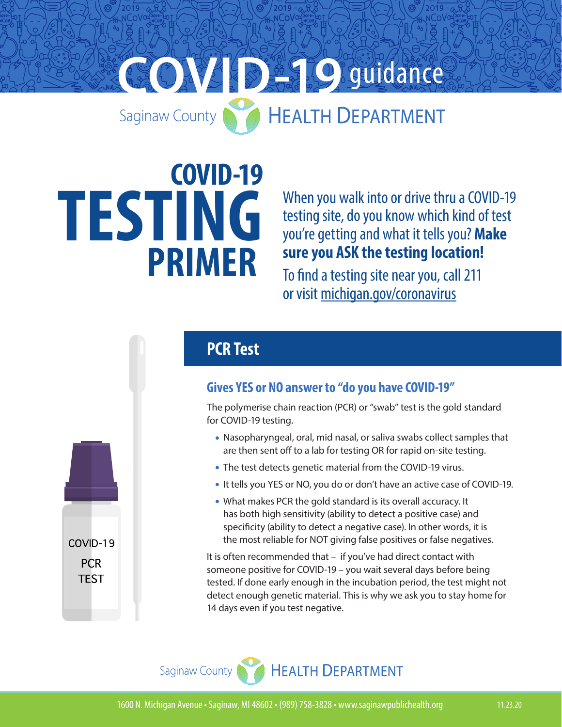# **COVID-1999 COVID-1999**

# **COVID-19 TESTING PRIMER**

When you walk into or drive thru a COVID-19 testing site, do you know which kind of test you're getting and what it tells you? **Make sure you ASK the testing location!**

To find a testing site near you, call 211 or visit [michigan.gov/coronavirus](https://www.michigan.gov/coronavirus/0,9753,7-406-99891_99912-531745--,00.html)

## **PCR Test**

#### **Gives YES or NO answer to "do you have COVID-19"**

The polymerise chain reaction (PCR) or "swab" test is the gold standard for COVID-19 testing.

- Nasopharyngeal, oral, mid nasal, or saliva swabs collect samples that are then sent off to a lab for testing OR for rapid on-site testing.
- The test detects genetic material from the COVID-19 virus.
- It tells you YES or NO, you do or don't have an active case of COVID-19.
- What makes PCR the gold standard is its overall accuracy. It has both high sensitivity (ability to detect a positive case) and specificity (ability to detect a negative case). In other words, it is the most reliable for NOT giving false positives or false negatives.

It is often recommended that – if you've had direct contact with someone positive for COVID-19 – you wait several days before being tested. If done early enough in the incubation period, the test might not detect enough genetic material. This is why we ask you to stay home for 14 days even if you test negative.





COVID-19 **PCR TEST**